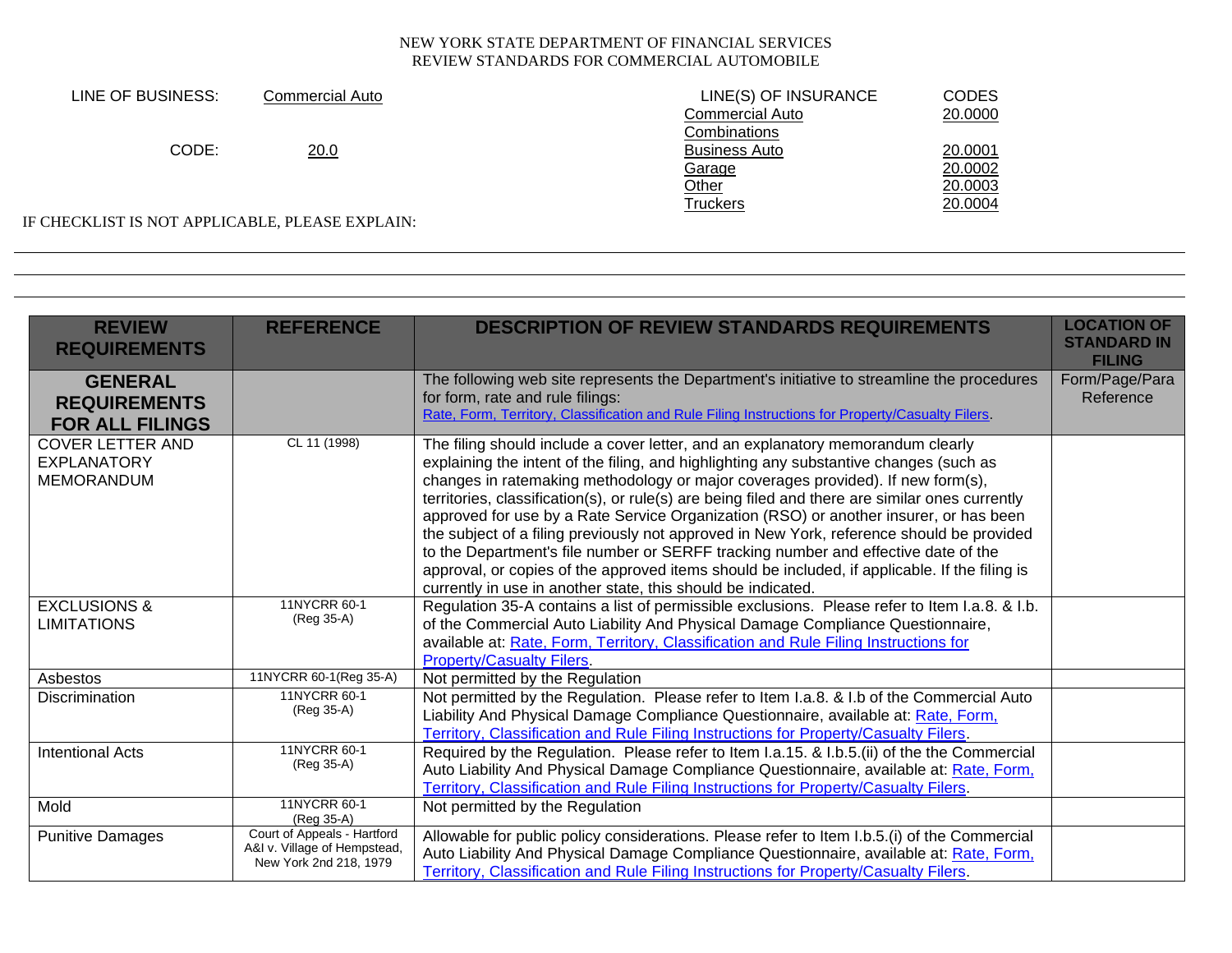| LINE OF BUSINESS:                               | Commercial Auto | LINE(S) OF INSURANCE   | <b>CODES</b> |
|-------------------------------------------------|-----------------|------------------------|--------------|
|                                                 |                 | <b>Commercial Auto</b> | 20.0000      |
|                                                 |                 | Combinations           |              |
| CODE:                                           | 20.0            | <b>Business Auto</b>   | 20.0001      |
|                                                 |                 | Garage                 | 20.0002      |
|                                                 |                 | <u>Other</u>           | 20.0003      |
|                                                 |                 | Truckers               | 20.0004      |
| IF CHECKLIST IS NOT APPLICABLE, PLEASE EXPLAIN: |                 |                        |              |

| <b>REVIEW</b><br><b>REQUIREMENTS</b>                               | <b>REFERENCE</b>                                                                      | <b>DESCRIPTION OF REVIEW STANDARDS REQUIREMENTS</b>                                                                                                                                                                                                                                                                                                                                                                                                                                                                                                                                                                                                                                                                                                                                                          | <b>LOCATION OF</b><br><b>STANDARD IN</b><br><b>FILING</b> |
|--------------------------------------------------------------------|---------------------------------------------------------------------------------------|--------------------------------------------------------------------------------------------------------------------------------------------------------------------------------------------------------------------------------------------------------------------------------------------------------------------------------------------------------------------------------------------------------------------------------------------------------------------------------------------------------------------------------------------------------------------------------------------------------------------------------------------------------------------------------------------------------------------------------------------------------------------------------------------------------------|-----------------------------------------------------------|
| <b>GENERAL</b><br><b>REQUIREMENTS</b><br><b>FOR ALL FILINGS</b>    |                                                                                       | The following web site represents the Department's initiative to streamline the procedures<br>for form, rate and rule filings:<br>Rate, Form, Territory, Classification and Rule Filing Instructions for Property/Casualty Filers.                                                                                                                                                                                                                                                                                                                                                                                                                                                                                                                                                                           | Form/Page/Para<br>Reference                               |
| <b>COVER LETTER AND</b><br><b>EXPLANATORY</b><br><b>MEMORANDUM</b> | CL 11 (1998)                                                                          | The filing should include a cover letter, and an explanatory memorandum clearly<br>explaining the intent of the filing, and highlighting any substantive changes (such as<br>changes in ratemaking methodology or major coverages provided). If new form(s),<br>territories, classification(s), or rule(s) are being filed and there are similar ones currently<br>approved for use by a Rate Service Organization (RSO) or another insurer, or has been<br>the subject of a filing previously not approved in New York, reference should be provided<br>to the Department's file number or SERFF tracking number and effective date of the<br>approval, or copies of the approved items should be included, if applicable. If the filing is<br>currently in use in another state, this should be indicated. |                                                           |
| <b>EXCLUSIONS &amp;</b><br><b>LIMITATIONS</b>                      | 11NYCRR 60-1<br>(Reg 35-A)                                                            | Regulation 35-A contains a list of permissible exclusions. Please refer to Item I.a.8. & I.b.<br>of the Commercial Auto Liability And Physical Damage Compliance Questionnaire,<br>available at: Rate, Form, Territory, Classification and Rule Filing Instructions for<br><b>Property/Casualty Filers.</b>                                                                                                                                                                                                                                                                                                                                                                                                                                                                                                  |                                                           |
| Asbestos                                                           | 11NYCRR 60-1(Reg 35-A)                                                                | Not permitted by the Regulation                                                                                                                                                                                                                                                                                                                                                                                                                                                                                                                                                                                                                                                                                                                                                                              |                                                           |
| Discrimination                                                     | 11NYCRR 60-1<br>(Reg 35-A)                                                            | Not permitted by the Regulation. Please refer to Item I.a.8. & I.b of the Commercial Auto<br>Liability And Physical Damage Compliance Questionnaire, available at: Rate, Form,<br>Territory, Classification and Rule Filing Instructions for Property/Casualty Filers.                                                                                                                                                                                                                                                                                                                                                                                                                                                                                                                                       |                                                           |
| <b>Intentional Acts</b>                                            | 11NYCRR 60-1<br>(Reg 35-A)                                                            | Required by the Regulation. Please refer to Item I.a.15. & I.b.5.(ii) of the the Commercial<br>Auto Liability And Physical Damage Compliance Questionnaire, available at: Rate, Form,<br>Territory, Classification and Rule Filing Instructions for Property/Casualty Filers.                                                                                                                                                                                                                                                                                                                                                                                                                                                                                                                                |                                                           |
| Mold                                                               | 11NYCRR 60-1<br>(Reg 35-A)                                                            | Not permitted by the Regulation                                                                                                                                                                                                                                                                                                                                                                                                                                                                                                                                                                                                                                                                                                                                                                              |                                                           |
| <b>Punitive Damages</b>                                            | Court of Appeals - Hartford<br>A&I v. Village of Hempstead,<br>New York 2nd 218, 1979 | Allowable for public policy considerations. Please refer to Item I.b.5.(i) of the Commercial<br>Auto Liability And Physical Damage Compliance Questionnaire, available at: Rate, Form,<br>Territory, Classification and Rule Filing Instructions for Property/Casualty Filers.                                                                                                                                                                                                                                                                                                                                                                                                                                                                                                                               |                                                           |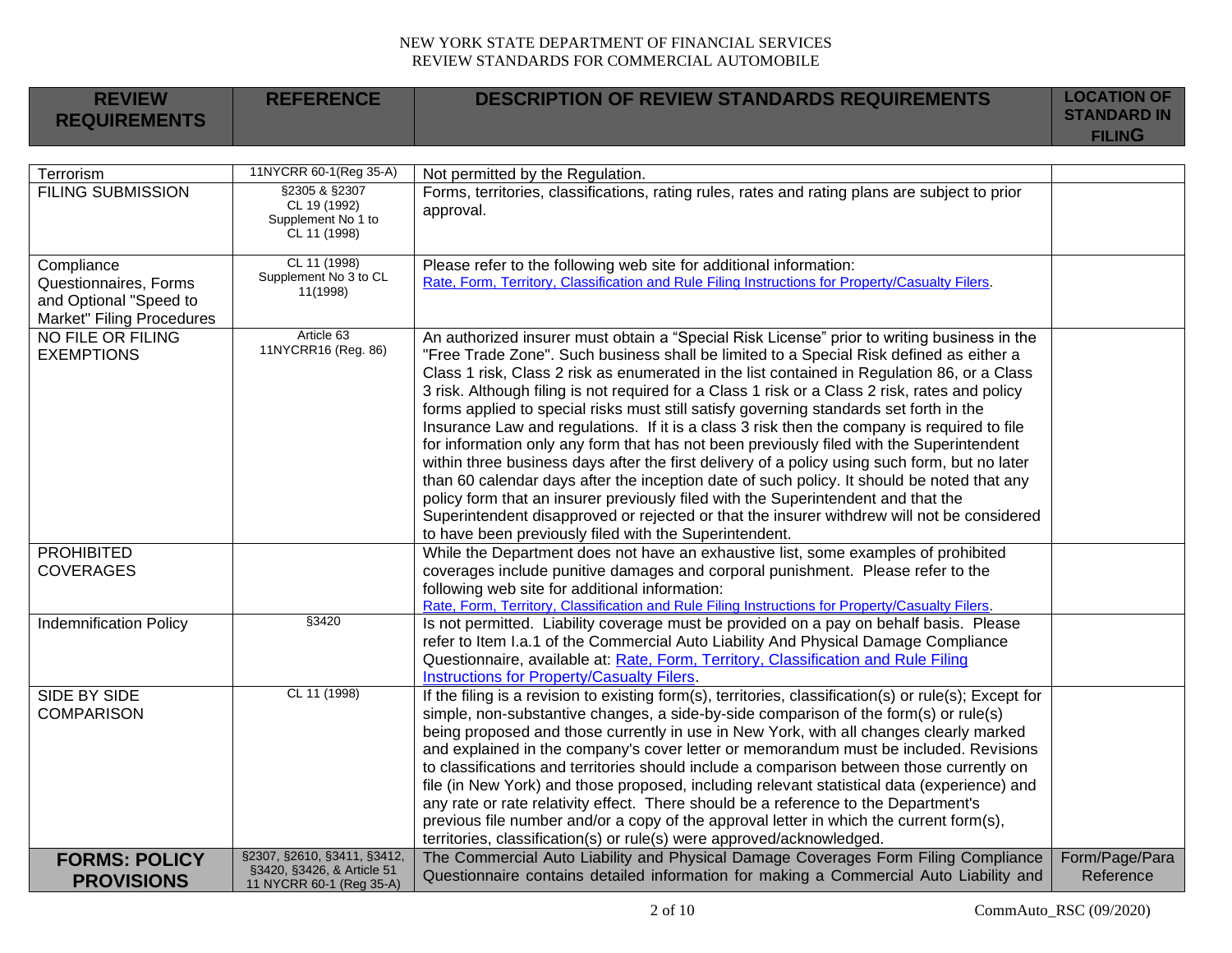| <b>REVIEW</b><br><b>REQUIREMENTS</b>                                                       | <b>REFERENCE</b>                                                                      | <b>DESCRIPTION OF REVIEW STANDARDS REQUIREMENTS</b>                                                                                                                                                                                                                                                                                                                                                                                                                                                                                                                                                                                                                                                                                                                                                                                                                                                                                                                                                                                                                                                                      | <b>LOCATION OF</b><br><b>STANDARD IN</b><br><b>FILING</b> |
|--------------------------------------------------------------------------------------------|---------------------------------------------------------------------------------------|--------------------------------------------------------------------------------------------------------------------------------------------------------------------------------------------------------------------------------------------------------------------------------------------------------------------------------------------------------------------------------------------------------------------------------------------------------------------------------------------------------------------------------------------------------------------------------------------------------------------------------------------------------------------------------------------------------------------------------------------------------------------------------------------------------------------------------------------------------------------------------------------------------------------------------------------------------------------------------------------------------------------------------------------------------------------------------------------------------------------------|-----------------------------------------------------------|
|                                                                                            |                                                                                       |                                                                                                                                                                                                                                                                                                                                                                                                                                                                                                                                                                                                                                                                                                                                                                                                                                                                                                                                                                                                                                                                                                                          |                                                           |
| Terrorism                                                                                  | 11NYCRR 60-1(Reg 35-A)                                                                | Not permitted by the Regulation.                                                                                                                                                                                                                                                                                                                                                                                                                                                                                                                                                                                                                                                                                                                                                                                                                                                                                                                                                                                                                                                                                         |                                                           |
| <b>FILING SUBMISSION</b>                                                                   | §2305 & §2307<br>CL 19 (1992)<br>Supplement No <sup>1</sup> to<br>CL 11 (1998)        | Forms, territories, classifications, rating rules, rates and rating plans are subject to prior<br>approval.                                                                                                                                                                                                                                                                                                                                                                                                                                                                                                                                                                                                                                                                                                                                                                                                                                                                                                                                                                                                              |                                                           |
| Compliance<br>Questionnaires, Forms<br>and Optional "Speed to<br>Market" Filing Procedures | CL 11 (1998)<br>Supplement No 3 to CL<br>11(1998)                                     | Please refer to the following web site for additional information:<br>Rate, Form, Territory, Classification and Rule Filing Instructions for Property/Casualty Filers.                                                                                                                                                                                                                                                                                                                                                                                                                                                                                                                                                                                                                                                                                                                                                                                                                                                                                                                                                   |                                                           |
| NO FILE OR FILING<br><b>EXEMPTIONS</b>                                                     | Article 63<br>11NYCRR16 (Reg. 86)                                                     | An authorized insurer must obtain a "Special Risk License" prior to writing business in the<br>"Free Trade Zone". Such business shall be limited to a Special Risk defined as either a<br>Class 1 risk, Class 2 risk as enumerated in the list contained in Regulation 86, or a Class<br>3 risk. Although filing is not required for a Class 1 risk or a Class 2 risk, rates and policy<br>forms applied to special risks must still satisfy governing standards set forth in the<br>Insurance Law and regulations. If it is a class 3 risk then the company is required to file<br>for information only any form that has not been previously filed with the Superintendent<br>within three business days after the first delivery of a policy using such form, but no later<br>than 60 calendar days after the inception date of such policy. It should be noted that any<br>policy form that an insurer previously filed with the Superintendent and that the<br>Superintendent disapproved or rejected or that the insurer withdrew will not be considered<br>to have been previously filed with the Superintendent. |                                                           |
| <b>PROHIBITED</b><br><b>COVERAGES</b>                                                      |                                                                                       | While the Department does not have an exhaustive list, some examples of prohibited<br>coverages include punitive damages and corporal punishment. Please refer to the<br>following web site for additional information:<br>Rate, Form, Territory, Classification and Rule Filing Instructions for Property/Casualty Filers.                                                                                                                                                                                                                                                                                                                                                                                                                                                                                                                                                                                                                                                                                                                                                                                              |                                                           |
| <b>Indemnification Policy</b>                                                              | §3420                                                                                 | Is not permitted. Liability coverage must be provided on a pay on behalf basis. Please<br>refer to Item I.a.1 of the Commercial Auto Liability And Physical Damage Compliance<br>Questionnaire, available at: Rate, Form, Territory, Classification and Rule Filing<br><b>Instructions for Property/Casualty Filers.</b>                                                                                                                                                                                                                                                                                                                                                                                                                                                                                                                                                                                                                                                                                                                                                                                                 |                                                           |
| <b>SIDE BY SIDE</b><br><b>COMPARISON</b>                                                   | CL 11 (1998)                                                                          | If the filing is a revision to existing form(s), territories, classification(s) or rule(s); Except for<br>simple, non-substantive changes, a side-by-side comparison of the form(s) or rule(s)<br>being proposed and those currently in use in New York, with all changes clearly marked<br>and explained in the company's cover letter or memorandum must be included. Revisions<br>to classifications and territories should include a comparison between those currently on<br>file (in New York) and those proposed, including relevant statistical data (experience) and<br>any rate or rate relativity effect. There should be a reference to the Department's<br>previous file number and/or a copy of the approval letter in which the current form(s),<br>territories, classification(s) or rule(s) were approved/acknowledged.                                                                                                                                                                                                                                                                                 |                                                           |
| <b>FORMS: POLICY</b><br><b>PROVISIONS</b>                                                  | §2307, §2610, §3411, §3412,<br>§3420, §3426, & Article 51<br>11 NYCRR 60-1 (Reg 35-A) | The Commercial Auto Liability and Physical Damage Coverages Form Filing Compliance<br>Questionnaire contains detailed information for making a Commercial Auto Liability and                                                                                                                                                                                                                                                                                                                                                                                                                                                                                                                                                                                                                                                                                                                                                                                                                                                                                                                                             | Form/Page/Para<br>Reference                               |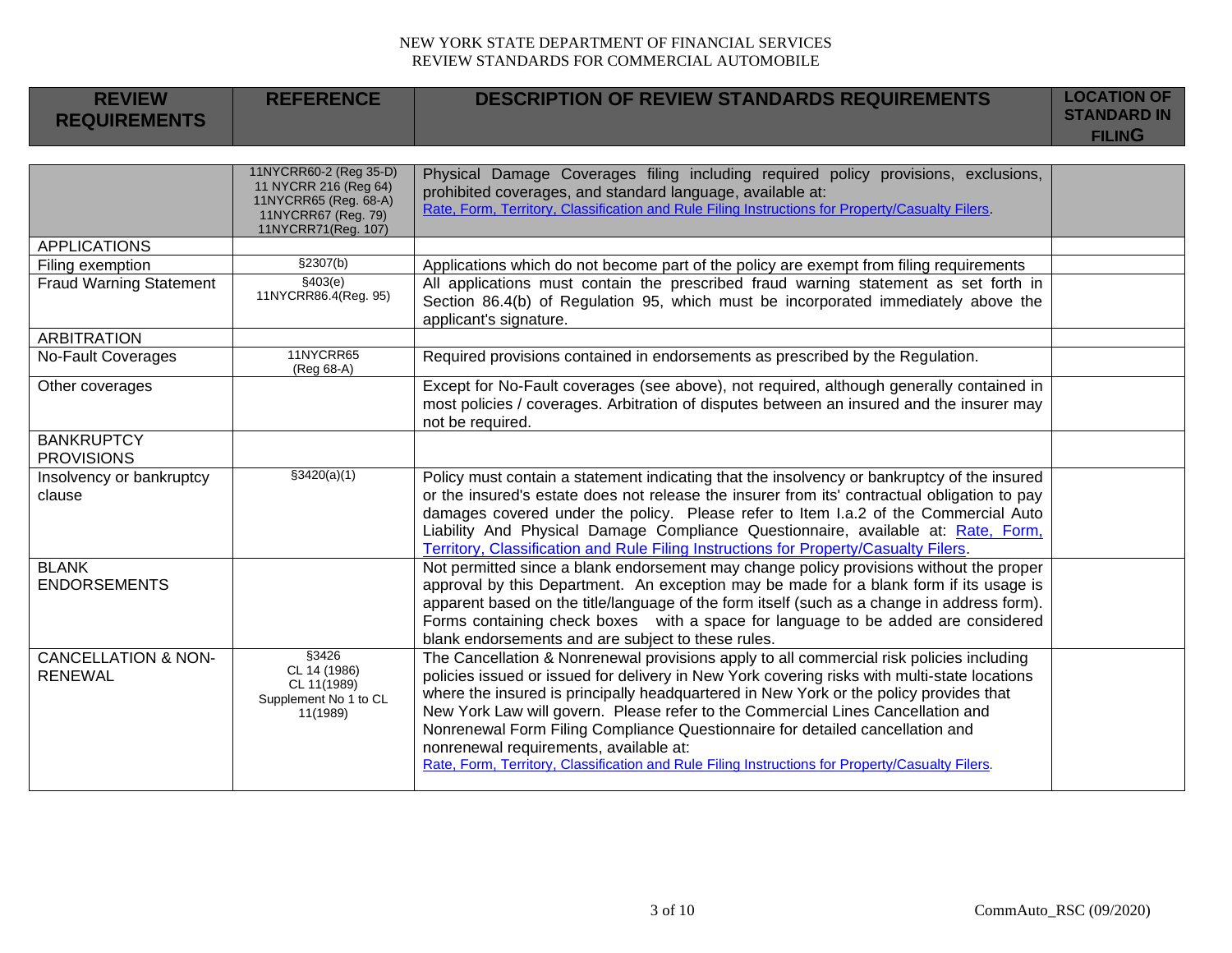| <b>REVIEW</b><br><b>REQUIREMENTS</b>             | <b>REFERENCE</b>                                                                                                       | <b>DESCRIPTION OF REVIEW STANDARDS REQUIREMENTS</b>                                                                                                                                                                                                                                                                                                                                                                                                                                                                                                                                                  | <b>LOCATION OF</b><br><b>STANDARD IN</b><br><b>FILING</b> |
|--------------------------------------------------|------------------------------------------------------------------------------------------------------------------------|------------------------------------------------------------------------------------------------------------------------------------------------------------------------------------------------------------------------------------------------------------------------------------------------------------------------------------------------------------------------------------------------------------------------------------------------------------------------------------------------------------------------------------------------------------------------------------------------------|-----------------------------------------------------------|
|                                                  |                                                                                                                        |                                                                                                                                                                                                                                                                                                                                                                                                                                                                                                                                                                                                      |                                                           |
|                                                  | 11NYCRR60-2 (Reg 35-D)<br>11 NYCRR 216 (Reg 64)<br>11NYCRR65 (Reg. 68-A)<br>11NYCRR67 (Reg. 79)<br>11NYCRR71(Reg. 107) | Physical Damage Coverages filing including required policy provisions, exclusions,<br>prohibited coverages, and standard language, available at:<br>Rate, Form, Territory, Classification and Rule Filing Instructions for Property/Casualty Filers.                                                                                                                                                                                                                                                                                                                                                 |                                                           |
| <b>APPLICATIONS</b>                              |                                                                                                                        |                                                                                                                                                                                                                                                                                                                                                                                                                                                                                                                                                                                                      |                                                           |
| Filing exemption                                 | \$2307(b)                                                                                                              | Applications which do not become part of the policy are exempt from filing requirements                                                                                                                                                                                                                                                                                                                                                                                                                                                                                                              |                                                           |
| <b>Fraud Warning Statement</b>                   | \$403(e)<br>11NYCRR86.4(Reg. 95)                                                                                       | All applications must contain the prescribed fraud warning statement as set forth in<br>Section 86.4(b) of Regulation 95, which must be incorporated immediately above the<br>applicant's signature.                                                                                                                                                                                                                                                                                                                                                                                                 |                                                           |
| <b>ARBITRATION</b>                               |                                                                                                                        |                                                                                                                                                                                                                                                                                                                                                                                                                                                                                                                                                                                                      |                                                           |
| <b>No-Fault Coverages</b>                        | 11NYCRR65<br>(Reg 68-A)                                                                                                | Required provisions contained in endorsements as prescribed by the Regulation.                                                                                                                                                                                                                                                                                                                                                                                                                                                                                                                       |                                                           |
| Other coverages                                  |                                                                                                                        | Except for No-Fault coverages (see above), not required, although generally contained in<br>most policies / coverages. Arbitration of disputes between an insured and the insurer may<br>not be required.                                                                                                                                                                                                                                                                                                                                                                                            |                                                           |
| <b>BANKRUPTCY</b><br><b>PROVISIONS</b>           |                                                                                                                        |                                                                                                                                                                                                                                                                                                                                                                                                                                                                                                                                                                                                      |                                                           |
| Insolvency or bankruptcy<br>clause               | \$3420(a)(1)                                                                                                           | Policy must contain a statement indicating that the insolvency or bankruptcy of the insured<br>or the insured's estate does not release the insurer from its' contractual obligation to pay<br>damages covered under the policy. Please refer to Item I.a.2 of the Commercial Auto<br>Liability And Physical Damage Compliance Questionnaire, available at: Rate, Form,<br>Territory, Classification and Rule Filing Instructions for Property/Casualty Filers.                                                                                                                                      |                                                           |
| <b>BLANK</b><br><b>ENDORSEMENTS</b>              |                                                                                                                        | Not permitted since a blank endorsement may change policy provisions without the proper<br>approval by this Department. An exception may be made for a blank form if its usage is<br>apparent based on the title/language of the form itself (such as a change in address form).<br>Forms containing check boxes with a space for language to be added are considered<br>blank endorsements and are subject to these rules.                                                                                                                                                                          |                                                           |
| <b>CANCELLATION &amp; NON-</b><br><b>RENEWAL</b> | \$3426<br>CL 14 (1986)<br>CL 11(1989)<br>Supplement No 1 to CL<br>11(1989)                                             | The Cancellation & Nonrenewal provisions apply to all commercial risk policies including<br>policies issued or issued for delivery in New York covering risks with multi-state locations<br>where the insured is principally headquartered in New York or the policy provides that<br>New York Law will govern. Please refer to the Commercial Lines Cancellation and<br>Nonrenewal Form Filing Compliance Questionnaire for detailed cancellation and<br>nonrenewal requirements, available at:<br>Rate, Form, Territory, Classification and Rule Filing Instructions for Property/Casualty Filers. |                                                           |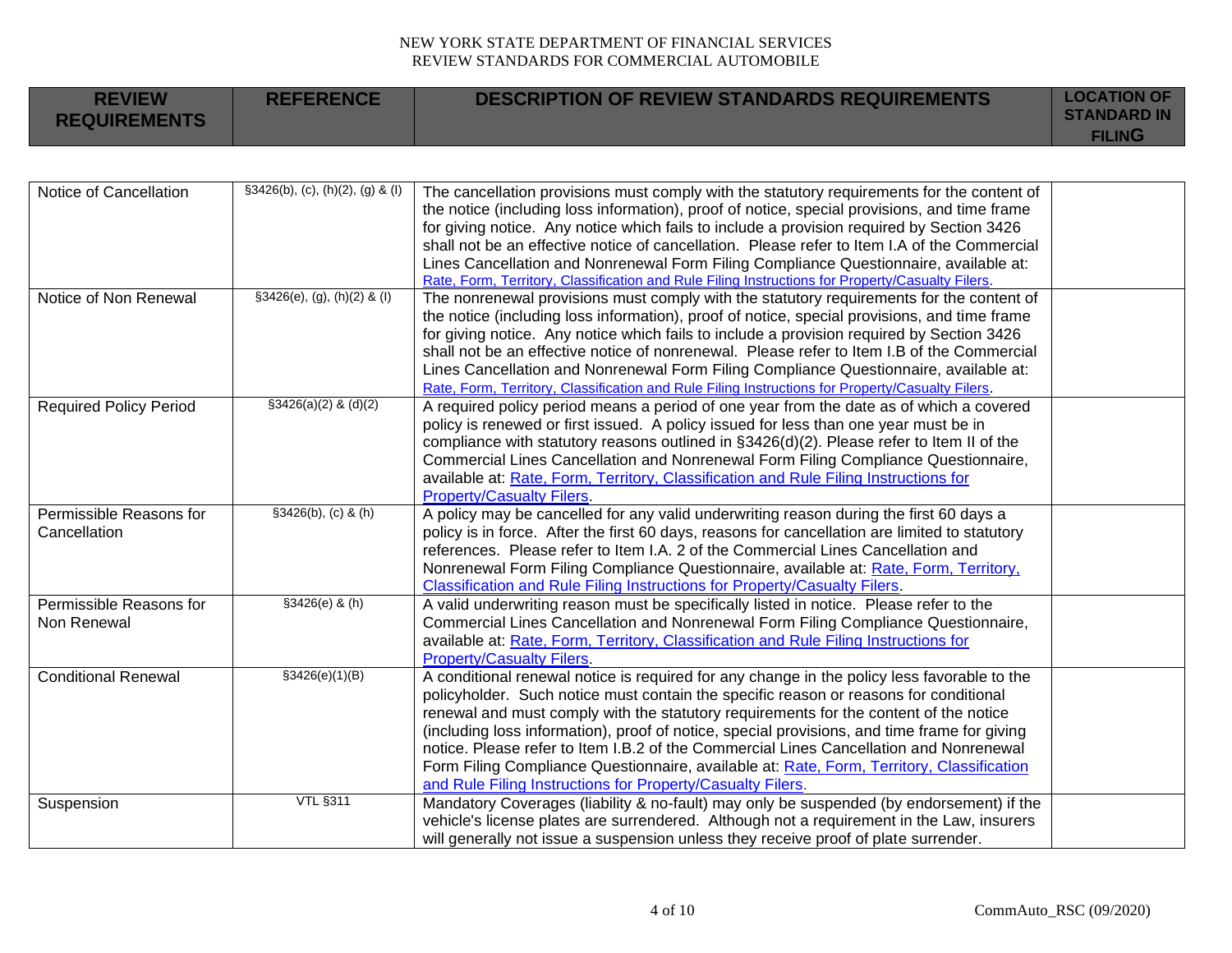| <b>REVIEW</b><br><b>REQUIREMENTS</b>    | <b>REFERENCE</b>                      | <b>DESCRIPTION OF REVIEW STANDARDS REQUIREMENTS</b>                                                                                                                                                                                                                                                                                                                                                                                                                                                                                                                                  | <b>LOCATION OF</b><br><b>STANDARD IN</b><br><b>FILING</b> |
|-----------------------------------------|---------------------------------------|--------------------------------------------------------------------------------------------------------------------------------------------------------------------------------------------------------------------------------------------------------------------------------------------------------------------------------------------------------------------------------------------------------------------------------------------------------------------------------------------------------------------------------------------------------------------------------------|-----------------------------------------------------------|
|                                         |                                       |                                                                                                                                                                                                                                                                                                                                                                                                                                                                                                                                                                                      |                                                           |
| Notice of Cancellation                  | $\S3426(b)$ , (c), (h)(2), (g) & (l)  | The cancellation provisions must comply with the statutory requirements for the content of<br>the notice (including loss information), proof of notice, special provisions, and time frame<br>for giving notice. Any notice which fails to include a provision required by Section 3426<br>shall not be an effective notice of cancellation. Please refer to Item I.A of the Commercial<br>Lines Cancellation and Nonrenewal Form Filing Compliance Questionnaire, available at:<br>Rate, Form, Territory, Classification and Rule Filing Instructions for Property/Casualty Filers. |                                                           |
| Notice of Non Renewal                   | $\text{\$3426(e), (g), (h)(2) & (l)}$ | The nonrenewal provisions must comply with the statutory requirements for the content of<br>the notice (including loss information), proof of notice, special provisions, and time frame<br>for giving notice. Any notice which fails to include a provision required by Section 3426<br>shall not be an effective notice of nonrenewal. Please refer to Item I.B of the Commercial<br>Lines Cancellation and Nonrenewal Form Filing Compliance Questionnaire, available at:<br>Rate, Form, Territory, Classification and Rule Filing Instructions for Property/Casualty Filers.     |                                                           |
| <b>Required Policy Period</b>           | $$3426(a)(2)$ & (d)(2)                | A required policy period means a period of one year from the date as of which a covered<br>policy is renewed or first issued. A policy issued for less than one year must be in<br>compliance with statutory reasons outlined in §3426(d)(2). Please refer to Item II of the<br>Commercial Lines Cancellation and Nonrenewal Form Filing Compliance Questionnaire,<br>available at: Rate, Form, Territory, Classification and Rule Filing Instructions for<br><b>Property/Casualty Filers.</b>                                                                                       |                                                           |
| Permissible Reasons for<br>Cancellation | §3426(b), (c) & (h)                   | A policy may be cancelled for any valid underwriting reason during the first 60 days a<br>policy is in force. After the first 60 days, reasons for cancellation are limited to statutory<br>references. Please refer to Item I.A. 2 of the Commercial Lines Cancellation and<br>Nonrenewal Form Filing Compliance Questionnaire, available at: Rate, Form, Territory,<br>Classification and Rule Filing Instructions for Property/Casualty Filers.                                                                                                                                   |                                                           |
| Permissible Reasons for<br>Non Renewal  | §3426(e) & (h)                        | A valid underwriting reason must be specifically listed in notice. Please refer to the<br>Commercial Lines Cancellation and Nonrenewal Form Filing Compliance Questionnaire,<br>available at: Rate, Form, Territory, Classification and Rule Filing Instructions for<br><b>Property/Casualty Filers.</b>                                                                                                                                                                                                                                                                             |                                                           |
| <b>Conditional Renewal</b>              | \$3426(e)(1)(B)                       | A conditional renewal notice is required for any change in the policy less favorable to the<br>policyholder. Such notice must contain the specific reason or reasons for conditional<br>renewal and must comply with the statutory requirements for the content of the notice                                                                                                                                                                                                                                                                                                        |                                                           |

[and Rule Filing Instructions for Property/Casualty Filers](https://www.dfs.ny.gov/apps_and_licensing/property_insurers/rate_form_filings).

Suspension VTL §311 VTL §311 Mandatory Coverages (liability & no-fault) may only be suspended (by endorsement) if the

(including loss information), proof of notice, special provisions, and time frame for giving notice. Please refer to Item I.B.2 of the Commercial Lines Cancellation and Nonrenewal Form Filing Compliance Questionnaire, available at: [Rate, Form, Territory,](https://www.dfs.ny.gov/apps_and_licensing/property_insurers/rate_form_filings) Classification

vehicle's license plates are surrendered. Although not a requirement in the Law, insurers

will generally not issue a suspension unless they receive proof of plate surrender.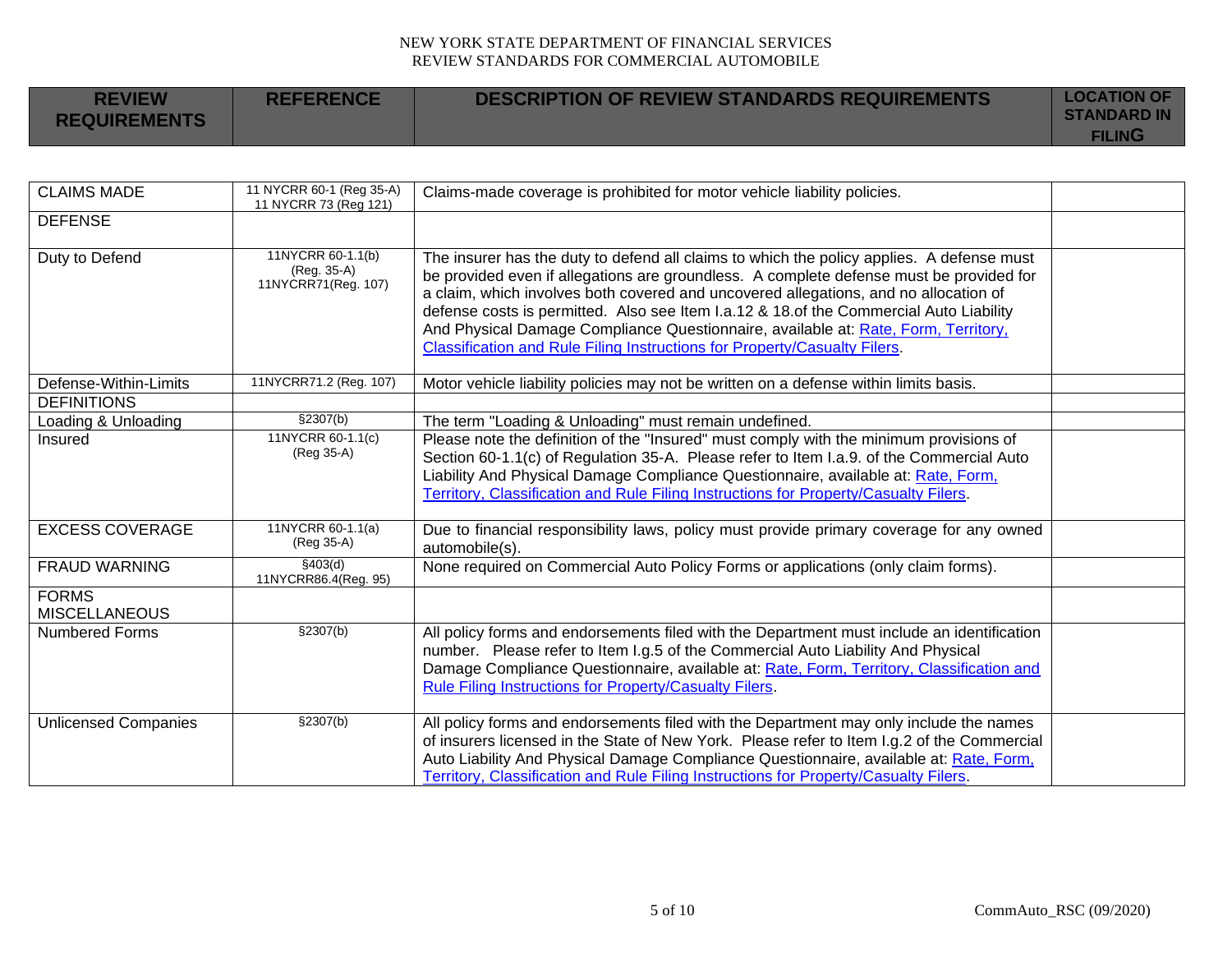| <b>REVIEW</b><br><b>REQUIREMENTS</b> | <b>REFERENCE</b> | <b>DESCRIPTION OF REVIEW STANDARDS REQUIREMENTS</b> | <b>LOCATION OF</b><br><b>STANDARD IN</b> |
|--------------------------------------|------------------|-----------------------------------------------------|------------------------------------------|
|                                      |                  |                                                     | <b>FILING</b>                            |

| <b>CLAIMS MADE</b>                   | 11 NYCRR 60-1 (Reg 35-A)<br>11 NYCRR 73 (Reg 121)       | Claims-made coverage is prohibited for motor vehicle liability policies.                                                                                                                                                                                                                                                                                                                                                                                                                                                                         |  |
|--------------------------------------|---------------------------------------------------------|--------------------------------------------------------------------------------------------------------------------------------------------------------------------------------------------------------------------------------------------------------------------------------------------------------------------------------------------------------------------------------------------------------------------------------------------------------------------------------------------------------------------------------------------------|--|
| <b>DEFENSE</b>                       |                                                         |                                                                                                                                                                                                                                                                                                                                                                                                                                                                                                                                                  |  |
| Duty to Defend                       | 11NYCRR 60-1.1(b)<br>(Reg. 35-A)<br>11NYCRR71(Reg. 107) | The insurer has the duty to defend all claims to which the policy applies. A defense must<br>be provided even if allegations are groundless. A complete defense must be provided for<br>a claim, which involves both covered and uncovered allegations, and no allocation of<br>defense costs is permitted. Also see Item I.a.12 & 18.of the Commercial Auto Liability<br>And Physical Damage Compliance Questionnaire, available at: Rate, Form, Territory,<br><b>Classification and Rule Filing Instructions for Property/Casualty Filers.</b> |  |
| Defense-Within-Limits                | 11NYCRR71.2 (Reg. 107)                                  | Motor vehicle liability policies may not be written on a defense within limits basis.                                                                                                                                                                                                                                                                                                                                                                                                                                                            |  |
| <b>DEFINITIONS</b>                   |                                                         |                                                                                                                                                                                                                                                                                                                                                                                                                                                                                                                                                  |  |
| Loading & Unloading                  | \$2307(b)                                               | The term "Loading & Unloading" must remain undefined.                                                                                                                                                                                                                                                                                                                                                                                                                                                                                            |  |
| Insured                              | 11NYCRR 60-1.1(c)<br>(Reg 35-A)                         | Please note the definition of the "Insured" must comply with the minimum provisions of<br>Section 60-1.1(c) of Regulation 35-A. Please refer to Item I.a.9. of the Commercial Auto<br>Liability And Physical Damage Compliance Questionnaire, available at: Rate, Form,<br>Territory, Classification and Rule Filing Instructions for Property/Casualty Filers.                                                                                                                                                                                  |  |
| <b>EXCESS COVERAGE</b>               | 11NYCRR 60-1.1(a)<br>(Reg 35-A)                         | Due to financial responsibility laws, policy must provide primary coverage for any owned<br>automobile(s).                                                                                                                                                                                                                                                                                                                                                                                                                                       |  |
| <b>FRAUD WARNING</b>                 | §403(d)<br>11NYCRR86.4(Reg. 95)                         | None required on Commercial Auto Policy Forms or applications (only claim forms).                                                                                                                                                                                                                                                                                                                                                                                                                                                                |  |
| <b>FORMS</b><br><b>MISCELLANEOUS</b> |                                                         |                                                                                                                                                                                                                                                                                                                                                                                                                                                                                                                                                  |  |
| <b>Numbered Forms</b>                | \$2307(b)                                               | All policy forms and endorsements filed with the Department must include an identification<br>number. Please refer to Item I.g.5 of the Commercial Auto Liability And Physical<br>Damage Compliance Questionnaire, available at: Rate, Form, Territory, Classification and<br>Rule Filing Instructions for Property/Casualty Filers.                                                                                                                                                                                                             |  |
| <b>Unlicensed Companies</b>          | $\sqrt{\frac{230}{2}}$                                  | All policy forms and endorsements filed with the Department may only include the names<br>of insurers licensed in the State of New York. Please refer to Item I.g.2 of the Commercial<br>Auto Liability And Physical Damage Compliance Questionnaire, available at: Rate, Form,<br>Territory, Classification and Rule Filing Instructions for Property/Casualty Filers.                                                                                                                                                                          |  |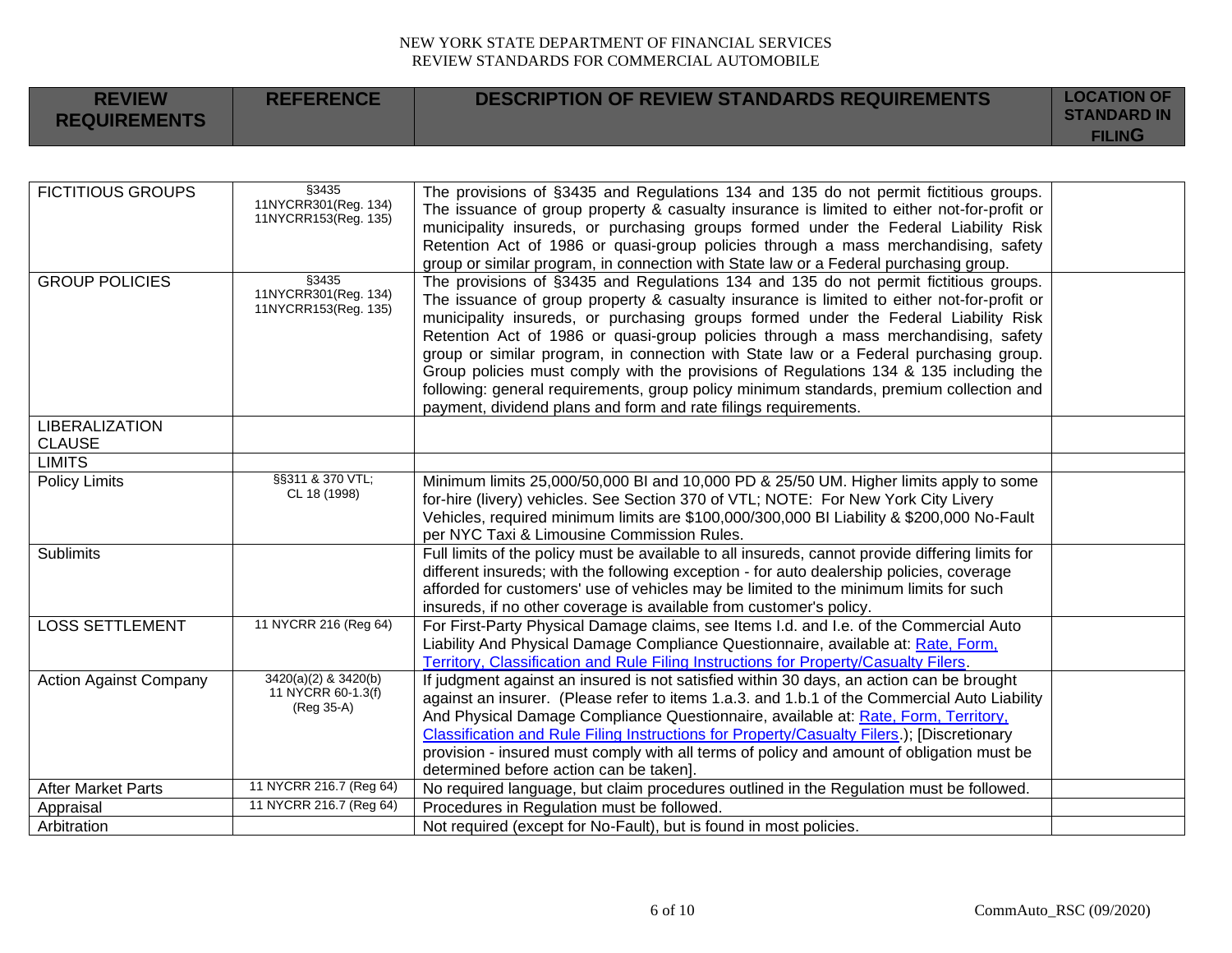| DESCRIPTION OF REVIEW STANDARDS REQUIREMENTS<br><b>REFERENCE</b><br><b>REVIEW</b><br><b>REQUIREMENTS</b> | <b>LOCATION OF</b><br><b>STANDARD IN</b><br><b>FILING</b> |
|----------------------------------------------------------------------------------------------------------|-----------------------------------------------------------|
|----------------------------------------------------------------------------------------------------------|-----------------------------------------------------------|

| <b>FICTITIOUS GROUPS</b>      | \$3435                                       | The provisions of §3435 and Regulations 134 and 135 do not permit fictitious groups.             |  |
|-------------------------------|----------------------------------------------|--------------------------------------------------------------------------------------------------|--|
|                               | 11NYCRR301(Reg. 134)<br>11NYCRR153(Reg. 135) | The issuance of group property & casualty insurance is limited to either not-for-profit or       |  |
|                               |                                              | municipality insureds, or purchasing groups formed under the Federal Liability Risk              |  |
|                               |                                              | Retention Act of 1986 or quasi-group policies through a mass merchandising, safety               |  |
|                               |                                              | group or similar program, in connection with State law or a Federal purchasing group.            |  |
| <b>GROUP POLICIES</b>         | §3435                                        | The provisions of §3435 and Regulations 134 and 135 do not permit fictitious groups.             |  |
|                               | 11NYCRR301(Reg. 134)<br>11NYCRR153(Reg. 135) | The issuance of group property & casualty insurance is limited to either not-for-profit or       |  |
|                               |                                              | municipality insureds, or purchasing groups formed under the Federal Liability Risk              |  |
|                               |                                              | Retention Act of 1986 or quasi-group policies through a mass merchandising, safety               |  |
|                               |                                              | group or similar program, in connection with State law or a Federal purchasing group.            |  |
|                               |                                              | Group policies must comply with the provisions of Regulations 134 & 135 including the            |  |
|                               |                                              | following: general requirements, group policy minimum standards, premium collection and          |  |
|                               |                                              | payment, dividend plans and form and rate filings requirements.                                  |  |
| <b>LIBERALIZATION</b>         |                                              |                                                                                                  |  |
| <b>CLAUSE</b>                 |                                              |                                                                                                  |  |
| <b>LIMITS</b>                 |                                              |                                                                                                  |  |
| <b>Policy Limits</b>          | §§311 & 370 VTL;                             | Minimum limits 25,000/50,000 BI and 10,000 PD & 25/50 UM. Higher limits apply to some            |  |
|                               | CL 18 (1998)                                 | for-hire (livery) vehicles. See Section 370 of VTL; NOTE: For New York City Livery               |  |
|                               |                                              | Vehicles, required minimum limits are \$100,000/300,000 BI Liability & \$200,000 No-Fault        |  |
|                               |                                              | per NYC Taxi & Limousine Commission Rules.                                                       |  |
| <b>Sublimits</b>              |                                              | Full limits of the policy must be available to all insureds, cannot provide differing limits for |  |
|                               |                                              | different insureds; with the following exception - for auto dealership policies, coverage        |  |
|                               |                                              | afforded for customers' use of vehicles may be limited to the minimum limits for such            |  |
|                               |                                              | insureds, if no other coverage is available from customer's policy.                              |  |
| <b>LOSS SETTLEMENT</b>        | 11 NYCRR 216 (Reg 64)                        | For First-Party Physical Damage claims, see Items I.d. and I.e. of the Commercial Auto           |  |
|                               |                                              | Liability And Physical Damage Compliance Questionnaire, available at: Rate, Form,                |  |
|                               |                                              | Territory, Classification and Rule Filing Instructions for Property/Casualty Filers.             |  |
| <b>Action Against Company</b> | 3420(a)(2) & 3420(b)                         | If judgment against an insured is not satisfied within 30 days, an action can be brought         |  |
|                               | 11 NYCRR 60-1.3(f)                           | against an insurer. (Please refer to items 1.a.3. and 1.b.1 of the Commercial Auto Liability     |  |
|                               | (Reg 35-A)                                   | And Physical Damage Compliance Questionnaire, available at: Rate, Form, Territory,               |  |
|                               |                                              | Classification and Rule Filing Instructions for Property/Casualty Filers.); [Discretionary       |  |
|                               |                                              | provision - insured must comply with all terms of policy and amount of obligation must be        |  |
|                               |                                              | determined before action can be taken].                                                          |  |
| <b>After Market Parts</b>     | 11 NYCRR 216.7 (Reg 64)                      | No required language, but claim procedures outlined in the Regulation must be followed.          |  |
| Appraisal                     | 11 NYCRR 216.7 (Reg 64)                      | Procedures in Regulation must be followed.                                                       |  |
| Arbitration                   |                                              | Not required (except for No-Fault), but is found in most policies.                               |  |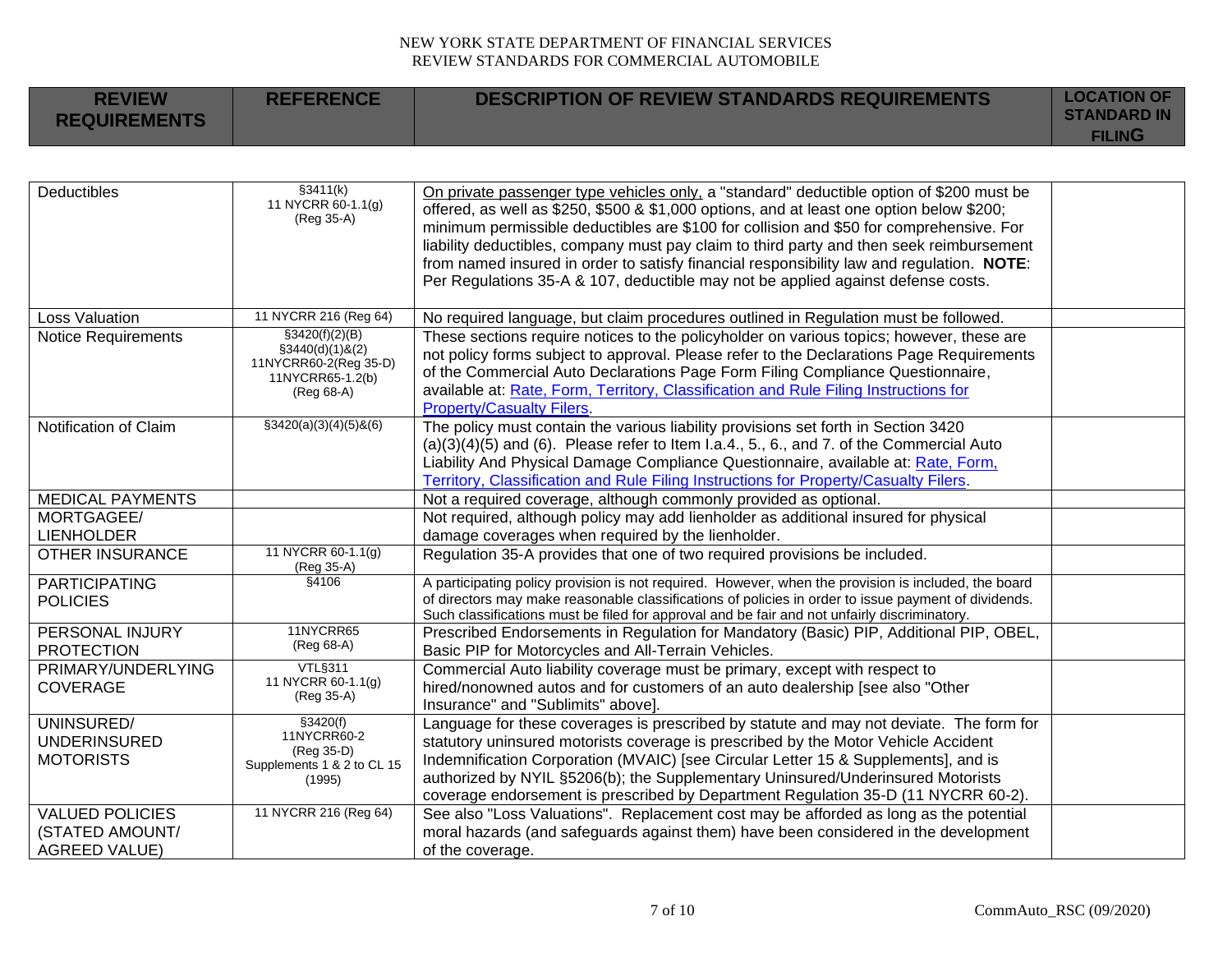|  | <b>REVIEW</b><br><b>REQUIREMENTS</b> | <b>REFERENCE</b> | <b>DESCRIPTION OF REVIEW STANDARDS REQUIREMENTS</b> | <b>LOCATION OF</b><br><b>STANDARD IN</b><br>FILING |
|--|--------------------------------------|------------------|-----------------------------------------------------|----------------------------------------------------|
|--|--------------------------------------|------------------|-----------------------------------------------------|----------------------------------------------------|

| <b>Deductibles</b>                                                | $\sqrt{\frac{23411(k)}{}}$<br>11 NYCRR 60-1.1(g)<br>(Reg 35-A)                                            | On private passenger type vehicles only, a "standard" deductible option of \$200 must be<br>offered, as well as \$250, \$500 & \$1,000 options, and at least one option below \$200;<br>minimum permissible deductibles are \$100 for collision and \$50 for comprehensive. For<br>liability deductibles, company must pay claim to third party and then seek reimbursement<br>from named insured in order to satisfy financial responsibility law and regulation. NOTE:<br>Per Regulations 35-A & 107, deductible may not be applied against defense costs. |  |
|-------------------------------------------------------------------|-----------------------------------------------------------------------------------------------------------|--------------------------------------------------------------------------------------------------------------------------------------------------------------------------------------------------------------------------------------------------------------------------------------------------------------------------------------------------------------------------------------------------------------------------------------------------------------------------------------------------------------------------------------------------------------|--|
| <b>Loss Valuation</b>                                             | 11 NYCRR 216 (Reg 64)                                                                                     | No required language, but claim procedures outlined in Regulation must be followed.                                                                                                                                                                                                                                                                                                                                                                                                                                                                          |  |
| <b>Notice Requirements</b>                                        | $\frac{23420(f)(2)(B)}{2}$<br>\$3440(d)(1)8(2)<br>11NYCRR60-2(Reg 35-D)<br>11NYCRR65-1.2(b)<br>(Reg 68-A) | These sections require notices to the policyholder on various topics; however, these are<br>not policy forms subject to approval. Please refer to the Declarations Page Requirements<br>of the Commercial Auto Declarations Page Form Filing Compliance Questionnaire,<br>available at: Rate, Form, Territory, Classification and Rule Filing Instructions for<br><b>Property/Casualty Filers.</b>                                                                                                                                                           |  |
| Notification of Claim                                             | $$3420(a)(3)(4)(5)$ &(6)                                                                                  | The policy must contain the various liability provisions set forth in Section 3420<br>$(a)(3)(4)(5)$ and $(6)$ . Please refer to Item I.a.4., 5., 6., and 7. of the Commercial Auto<br>Liability And Physical Damage Compliance Questionnaire, available at: Rate, Form,<br>Territory, Classification and Rule Filing Instructions for Property/Casualty Filers.                                                                                                                                                                                             |  |
| <b>MEDICAL PAYMENTS</b>                                           |                                                                                                           | Not a required coverage, although commonly provided as optional.                                                                                                                                                                                                                                                                                                                                                                                                                                                                                             |  |
| MORTGAGEE/                                                        |                                                                                                           | Not required, although policy may add lienholder as additional insured for physical                                                                                                                                                                                                                                                                                                                                                                                                                                                                          |  |
| <b>LIENHOLDER</b>                                                 |                                                                                                           | damage coverages when required by the lienholder.                                                                                                                                                                                                                                                                                                                                                                                                                                                                                                            |  |
| <b>OTHER INSURANCE</b>                                            | 11 NYCRR 60-1.1(g)<br>(Reg 35-A)                                                                          | Regulation 35-A provides that one of two required provisions be included.                                                                                                                                                                                                                                                                                                                                                                                                                                                                                    |  |
| <b>PARTICIPATING</b><br><b>POLICIES</b>                           | §4106                                                                                                     | A participating policy provision is not required. However, when the provision is included, the board<br>of directors may make reasonable classifications of policies in order to issue payment of dividends.<br>Such classifications must be filed for approval and be fair and not unfairly discriminatory.                                                                                                                                                                                                                                                 |  |
| PERSONAL INJURY<br><b>PROTECTION</b>                              | 11NYCRR65<br>(Reg 68-A)                                                                                   | Prescribed Endorsements in Regulation for Mandatory (Basic) PIP, Additional PIP, OBEL,<br>Basic PIP for Motorcycles and All-Terrain Vehicles.                                                                                                                                                                                                                                                                                                                                                                                                                |  |
| PRIMARY/UNDERLYING<br><b>COVERAGE</b>                             | VTL§311<br>11 NYCRR 60-1.1(g)<br>(Reg 35-A)                                                               | Commercial Auto liability coverage must be primary, except with respect to<br>hired/nonowned autos and for customers of an auto dealership [see also "Other<br>Insurance" and "Sublimits" above].                                                                                                                                                                                                                                                                                                                                                            |  |
| UNINSURED/<br><b>UNDERINSURED</b><br><b>MOTORISTS</b>             | \$3420(f)<br>11NYCRR60-2<br>(Reg 35-D)<br>Supplements 1 & 2 to CL 15<br>(1995)                            | Language for these coverages is prescribed by statute and may not deviate. The form for<br>statutory uninsured motorists coverage is prescribed by the Motor Vehicle Accident<br>Indemnification Corporation (MVAIC) [see Circular Letter 15 & Supplements], and is<br>authorized by NYIL §5206(b); the Supplementary Uninsured/Underinsured Motorists<br>coverage endorsement is prescribed by Department Regulation 35-D (11 NYCRR 60-2).                                                                                                                  |  |
| <b>VALUED POLICIES</b><br>(STATED AMOUNT/<br><b>AGREED VALUE)</b> | 11 NYCRR 216 (Reg 64)                                                                                     | See also "Loss Valuations". Replacement cost may be afforded as long as the potential<br>moral hazards (and safeguards against them) have been considered in the development<br>of the coverage.                                                                                                                                                                                                                                                                                                                                                             |  |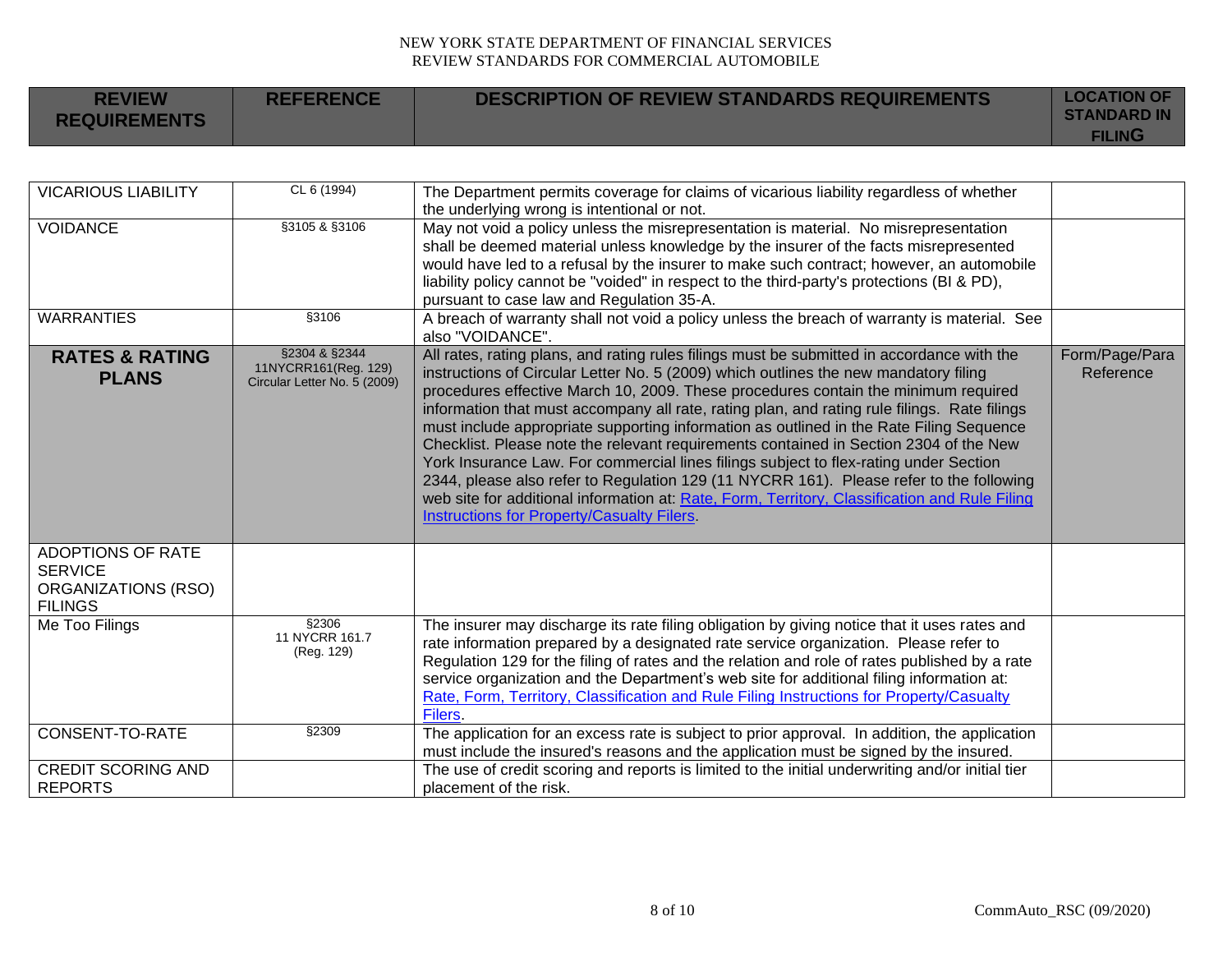| <b>REVIEW</b><br><b>REQUIREMENTS</b> | <b>REFERENCE</b> | <b>DESCRIPTION OF REVIEW STANDARDS REQUIREMENTS</b> | <b>LOCATION OF</b><br><b>STANDARD IN</b><br><b>FILING</b> |
|--------------------------------------|------------------|-----------------------------------------------------|-----------------------------------------------------------|
|--------------------------------------|------------------|-----------------------------------------------------|-----------------------------------------------------------|

| <b>VICARIOUS LIABILITY</b>                                                          | CL 6 (1994)                                                           | The Department permits coverage for claims of vicarious liability regardless of whether                                                                                                                                                                                                                                                                                                                                                                                                                                                                                                                                                                                                                                                                                                                                                                                                         |                             |
|-------------------------------------------------------------------------------------|-----------------------------------------------------------------------|-------------------------------------------------------------------------------------------------------------------------------------------------------------------------------------------------------------------------------------------------------------------------------------------------------------------------------------------------------------------------------------------------------------------------------------------------------------------------------------------------------------------------------------------------------------------------------------------------------------------------------------------------------------------------------------------------------------------------------------------------------------------------------------------------------------------------------------------------------------------------------------------------|-----------------------------|
|                                                                                     |                                                                       | the underlying wrong is intentional or not.                                                                                                                                                                                                                                                                                                                                                                                                                                                                                                                                                                                                                                                                                                                                                                                                                                                     |                             |
| <b>VOIDANCE</b>                                                                     | §3105 & §3106                                                         | May not void a policy unless the misrepresentation is material. No misrepresentation<br>shall be deemed material unless knowledge by the insurer of the facts misrepresented<br>would have led to a refusal by the insurer to make such contract; however, an automobile<br>liability policy cannot be "voided" in respect to the third-party's protections (BI & PD),<br>pursuant to case law and Regulation 35-A.                                                                                                                                                                                                                                                                                                                                                                                                                                                                             |                             |
| <b>WARRANTIES</b>                                                                   | §3106                                                                 | A breach of warranty shall not void a policy unless the breach of warranty is material. See<br>also "VOIDANCE".                                                                                                                                                                                                                                                                                                                                                                                                                                                                                                                                                                                                                                                                                                                                                                                 |                             |
| <b>RATES &amp; RATING</b><br><b>PLANS</b>                                           | §2304 & §2344<br>11NYCRR161(Reg. 129)<br>Circular Letter No. 5 (2009) | All rates, rating plans, and rating rules filings must be submitted in accordance with the<br>instructions of Circular Letter No. 5 (2009) which outlines the new mandatory filing<br>procedures effective March 10, 2009. These procedures contain the minimum required<br>information that must accompany all rate, rating plan, and rating rule filings. Rate filings<br>must include appropriate supporting information as outlined in the Rate Filing Sequence<br>Checklist. Please note the relevant requirements contained in Section 2304 of the New<br>York Insurance Law. For commercial lines filings subject to flex-rating under Section<br>2344, please also refer to Regulation 129 (11 NYCRR 161). Please refer to the following<br>web site for additional information at: Rate, Form, Territory, Classification and Rule Filing<br>Instructions for Property/Casualty Filers. | Form/Page/Para<br>Reference |
| ADOPTIONS OF RATE<br><b>SERVICE</b><br><b>ORGANIZATIONS (RSO)</b><br><b>FILINGS</b> |                                                                       |                                                                                                                                                                                                                                                                                                                                                                                                                                                                                                                                                                                                                                                                                                                                                                                                                                                                                                 |                             |
| Me Too Filings                                                                      | §2306<br>11 NYCRR 161.7<br>(Reg. 129)                                 | The insurer may discharge its rate filing obligation by giving notice that it uses rates and<br>rate information prepared by a designated rate service organization. Please refer to<br>Regulation 129 for the filing of rates and the relation and role of rates published by a rate<br>service organization and the Department's web site for additional filing information at:<br>Rate, Form, Territory, Classification and Rule Filing Instructions for Property/Casualty<br>Filers.                                                                                                                                                                                                                                                                                                                                                                                                        |                             |
| CONSENT-TO-RATE                                                                     | \$2309                                                                | The application for an excess rate is subject to prior approval. In addition, the application<br>must include the insured's reasons and the application must be signed by the insured.                                                                                                                                                                                                                                                                                                                                                                                                                                                                                                                                                                                                                                                                                                          |                             |
| <b>CREDIT SCORING AND</b><br><b>REPORTS</b>                                         |                                                                       | The use of credit scoring and reports is limited to the initial underwriting and/or initial tier<br>placement of the risk.                                                                                                                                                                                                                                                                                                                                                                                                                                                                                                                                                                                                                                                                                                                                                                      |                             |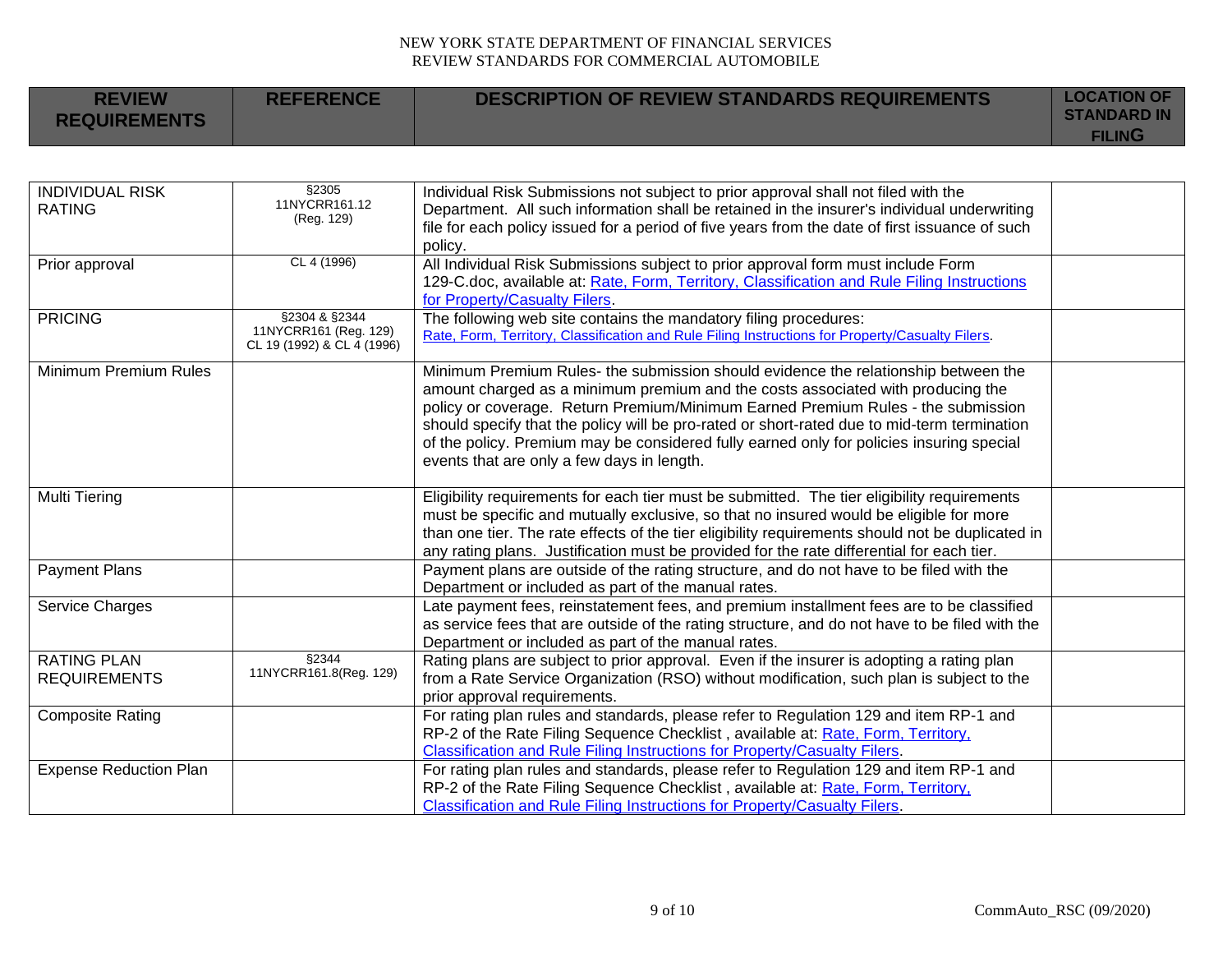| <b>REVIEW</b><br><b>REQUIREMENTS</b> | <b>REFERENCE</b> | DESCRIPTION OF REVIEW STANDARDS REQUIREMENTS | <b>LOCATION OF</b><br><b>STANDARD IN</b><br><b>FILING</b> |
|--------------------------------------|------------------|----------------------------------------------|-----------------------------------------------------------|
|                                      |                  |                                              |                                                           |

| <b>INDIVIDUAL RISK</b>        | \$2305                     | Individual Risk Submissions not subject to prior approval shall not filed with the               |  |
|-------------------------------|----------------------------|--------------------------------------------------------------------------------------------------|--|
| <b>RATING</b>                 | 11NYCRR161.12              | Department. All such information shall be retained in the insurer's individual underwriting      |  |
|                               | (Reg. 129)                 | file for each policy issued for a period of five years from the date of first issuance of such   |  |
|                               |                            | policy.                                                                                          |  |
| Prior approval                | CL 4 (1996)                | All Individual Risk Submissions subject to prior approval form must include Form                 |  |
|                               |                            | 129-C.doc, available at: Rate, Form, Territory, Classification and Rule Filing Instructions      |  |
|                               |                            | for Property/Casualty Filers.                                                                    |  |
| <b>PRICING</b>                | §2304 & §2344              | The following web site contains the mandatory filing procedures:                                 |  |
|                               | 11NYCRR161 (Reg. 129)      | Rate, Form, Territory, Classification and Rule Filing Instructions for Property/Casualty Filers. |  |
|                               | CL 19 (1992) & CL 4 (1996) |                                                                                                  |  |
| <b>Minimum Premium Rules</b>  |                            | Minimum Premium Rules- the submission should evidence the relationship between the               |  |
|                               |                            | amount charged as a minimum premium and the costs associated with producing the                  |  |
|                               |                            | policy or coverage. Return Premium/Minimum Earned Premium Rules - the submission                 |  |
|                               |                            | should specify that the policy will be pro-rated or short-rated due to mid-term termination      |  |
|                               |                            | of the policy. Premium may be considered fully earned only for policies insuring special         |  |
|                               |                            | events that are only a few days in length.                                                       |  |
|                               |                            |                                                                                                  |  |
| Multi Tiering                 |                            | Eligibility requirements for each tier must be submitted. The tier eligibility requirements      |  |
|                               |                            | must be specific and mutually exclusive, so that no insured would be eligible for more           |  |
|                               |                            | than one tier. The rate effects of the tier eligibility requirements should not be duplicated in |  |
|                               |                            | any rating plans. Justification must be provided for the rate differential for each tier.        |  |
| <b>Payment Plans</b>          |                            | Payment plans are outside of the rating structure, and do not have to be filed with the          |  |
|                               |                            | Department or included as part of the manual rates.                                              |  |
| Service Charges               |                            | Late payment fees, reinstatement fees, and premium installment fees are to be classified         |  |
|                               |                            | as service fees that are outside of the rating structure, and do not have to be filed with the   |  |
|                               |                            | Department or included as part of the manual rates.                                              |  |
| <b>RATING PLAN</b>            | §2344                      | Rating plans are subject to prior approval. Even if the insurer is adopting a rating plan        |  |
| <b>REQUIREMENTS</b>           | 11NYCRR161.8(Reg. 129)     | from a Rate Service Organization (RSO) without modification, such plan is subject to the         |  |
|                               |                            | prior approval requirements.                                                                     |  |
| <b>Composite Rating</b>       |                            | For rating plan rules and standards, please refer to Regulation 129 and item RP-1 and            |  |
|                               |                            | RP-2 of the Rate Filing Sequence Checklist, available at: Rate, Form, Territory,                 |  |
|                               |                            | Classification and Rule Filing Instructions for Property/Casualty Filers.                        |  |
| <b>Expense Reduction Plan</b> |                            | For rating plan rules and standards, please refer to Regulation 129 and item RP-1 and            |  |
|                               |                            | RP-2 of the Rate Filing Sequence Checklist, available at: Rate, Form, Territory,                 |  |
|                               |                            | Classification and Rule Filing Instructions for Property/Casualty Filers.                        |  |